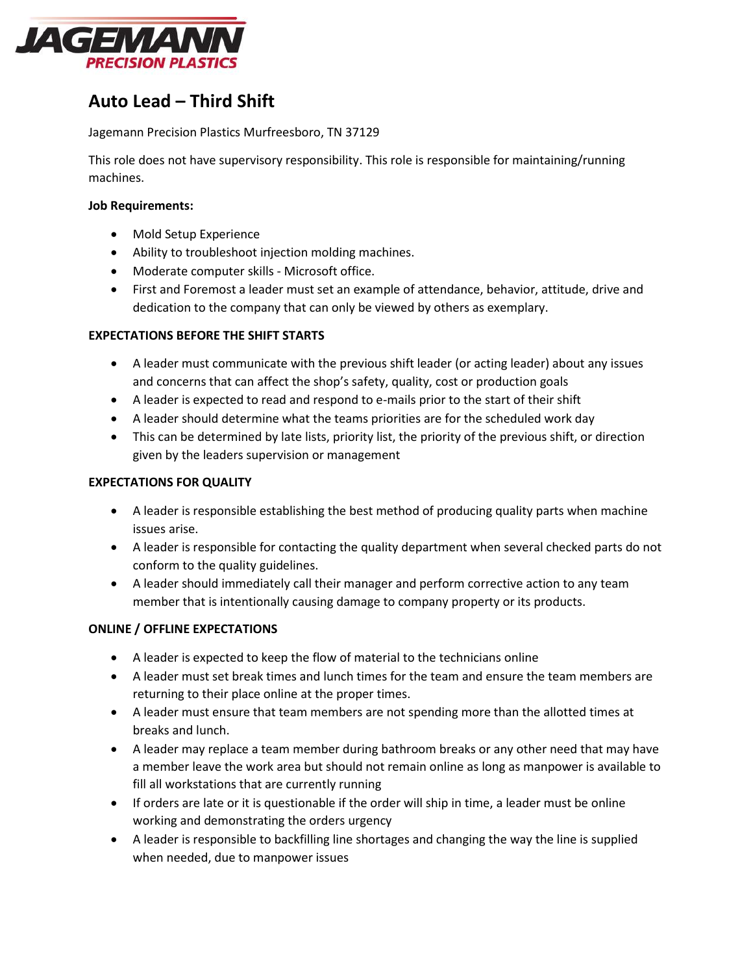

# **Auto Lead – Third Shift**

#### Jagemann Precision Plastics Murfreesboro, TN 37129

This role does not have supervisory responsibility. This role is responsible for maintaining/running machines.

#### **Job Requirements:**

- Mold Setup Experience
- Ability to troubleshoot injection molding machines.
- Moderate computer skills Microsoft office.
- First and Foremost a leader must set an example of attendance, behavior, attitude, drive and dedication to the company that can only be viewed by others as exemplary.

#### **EXPECTATIONS BEFORE THE SHIFT STARTS**

- A leader must communicate with the previous shift leader (or acting leader) about any issues and concerns that can affect the shop's safety, quality, cost or production goals
- A leader is expected to read and respond to e-mails prior to the start of their shift
- A leader should determine what the teams priorities are for the scheduled work day
- This can be determined by late lists, priority list, the priority of the previous shift, or direction given by the leaders supervision or management

#### **EXPECTATIONS FOR QUALITY**

- A leader is responsible establishing the best method of producing quality parts when machine issues arise.
- A leader is responsible for contacting the quality department when several checked parts do not conform to the quality guidelines.
- A leader should immediately call their manager and perform corrective action to any team member that is intentionally causing damage to company property or its products.

#### **ONLINE / OFFLINE EXPECTATIONS**

- A leader is expected to keep the flow of material to the technicians online
- A leader must set break times and lunch times for the team and ensure the team members are returning to their place online at the proper times.
- A leader must ensure that team members are not spending more than the allotted times at breaks and lunch.
- A leader may replace a team member during bathroom breaks or any other need that may have a member leave the work area but should not remain online as long as manpower is available to fill all workstations that are currently running
- If orders are late or it is questionable if the order will ship in time, a leader must be online working and demonstrating the orders urgency
- A leader is responsible to backfilling line shortages and changing the way the line is supplied when needed, due to manpower issues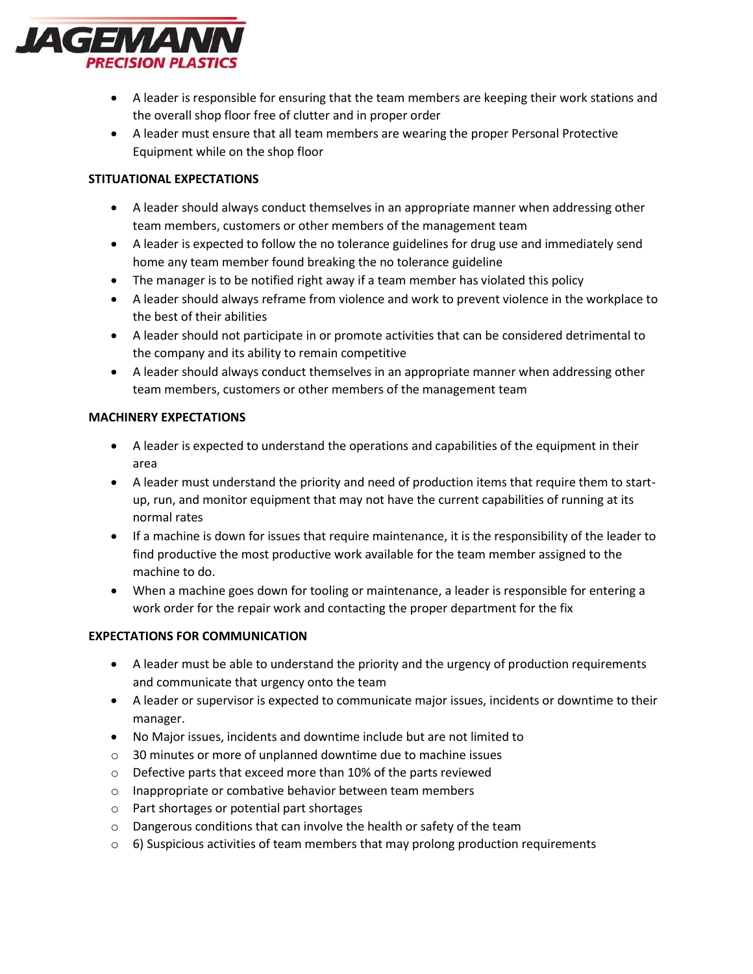

- A leader is responsible for ensuring that the team members are keeping their work stations and the overall shop floor free of clutter and in proper order
- A leader must ensure that all team members are wearing the proper Personal Protective Equipment while on the shop floor

### **STITUATIONAL EXPECTATIONS**

- A leader should always conduct themselves in an appropriate manner when addressing other team members, customers or other members of the management team
- A leader is expected to follow the no tolerance guidelines for drug use and immediately send home any team member found breaking the no tolerance guideline
- The manager is to be notified right away if a team member has violated this policy
- A leader should always reframe from violence and work to prevent violence in the workplace to the best of their abilities
- A leader should not participate in or promote activities that can be considered detrimental to the company and its ability to remain competitive
- A leader should always conduct themselves in an appropriate manner when addressing other team members, customers or other members of the management team

#### **MACHINERY EXPECTATIONS**

- A leader is expected to understand the operations and capabilities of the equipment in their area
- A leader must understand the priority and need of production items that require them to startup, run, and monitor equipment that may not have the current capabilities of running at its normal rates
- If a machine is down for issues that require maintenance, it is the responsibility of the leader to find productive the most productive work available for the team member assigned to the machine to do.
- When a machine goes down for tooling or maintenance, a leader is responsible for entering a work order for the repair work and contacting the proper department for the fix

## **EXPECTATIONS FOR COMMUNICATION**

- A leader must be able to understand the priority and the urgency of production requirements and communicate that urgency onto the team
- A leader or supervisor is expected to communicate major issues, incidents or downtime to their manager.
- No Major issues, incidents and downtime include but are not limited to
- o 30 minutes or more of unplanned downtime due to machine issues
- o Defective parts that exceed more than 10% of the parts reviewed
- o Inappropriate or combative behavior between team members
- o Part shortages or potential part shortages
- o Dangerous conditions that can involve the health or safety of the team
- $\circ$  6) Suspicious activities of team members that may prolong production requirements